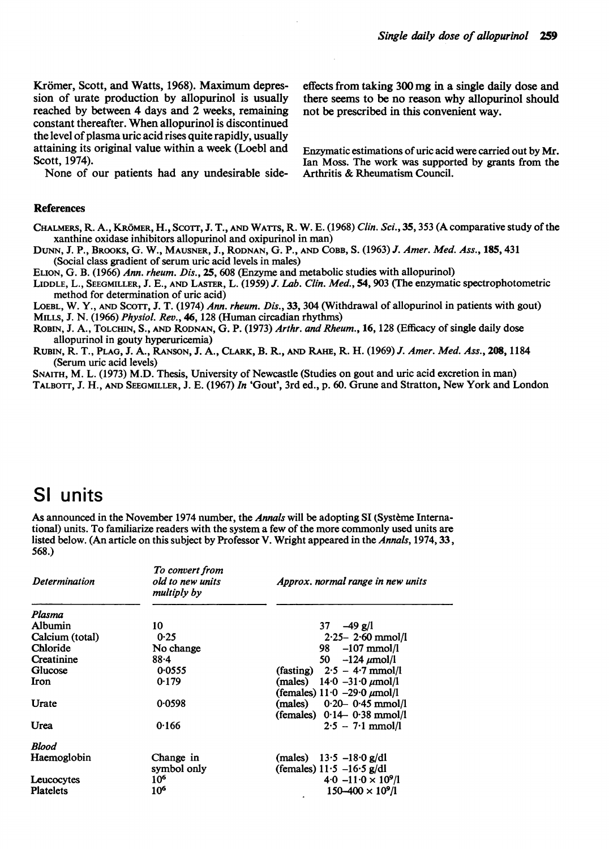Krömer, Scott, and Watts, 1968). Maximum depres-<br>sion of urate production by allopurinol is usually there seems to be no reason why allopurinol should reached by between 4 days and 2 weeks, remaining constant thereafter. When allopurinol is discontinued the level of plasma uric acid rises quite rapidly, usually attaining its original value within a week (Loebl and attaining its original value within a week (Loebl and Enzymatic estimations of uric acid were carried out by Mr.<br>Scott, 1974). The work was supported by grants from the

None of our patients had any undesirable side-

there seems to be no reason why allopurinol should<br>not be prescribed in this convenient way.

Ian Moss. The work was supported by grants from the Arthritis  $\&$  Rheumatism Council.

#### **References**

CHALMERS, R. A., KROMER, H., Scorr, J. T., AND WArrs, R. W. E. (1968) Clin. Sci., 35, 353 (A comparative study of the xanthine oxidase inhibitors allopurinol and oxipurinol in man)

DuNN, J. P., BROOKS, G. W., MAUSNER, J., RODNAN, G. P., AND COBB, S. (1963) J. Amer. Med. Ass., 185, 431 (Social class gradient of serum uric acid levels in males)

ELION, G. B. (1966) Ann. rheum. Dis., 25, 608 (Enzyme and metabolic studies with allopurinol)

LIDDLE, L., SEEGMILLER, J. E., AND LASTER, L. (1959) J. Lab. Clin. Med., 54, 903 (The enzymatic spectrophotometric method for determination of uric acid)

LOEBL, W. Y., AND SCOrr, J. T. (1974) Ann. rheum. Dis., 33, 304 (Withdrawal of allopurinol in patients with gout) MILLS, J. N. (1966) Physiol. Rev., 46, 128 (Human circadian rhythms)

ROBIN, J. A., TOLCHIN, S., AND RODNAN, G. P. (1973) Arthr. and Rheum., 16, 128 (Efficacy of single daily dose allopurinol in gouty hyperuricemia)

RUBIN, R. T., PLAG, J. A., RANSON, J. A., CLARK, B. R., AND RAHE, R. H. (1969) J. Amer. Med. Ass., 208,1184 (Serum uric acid levels)

SNAITH, M. L. (1973) M.D. Thesis, University of Newcastle (Studies on gout and uric acid excretion in man)

TALBOTT, J. H., AND SEEGMILLER, J. E. (1967) In 'Gout', 3rd ed., p. 60. Grune and Stratton, New York and London

#### Si units

As announced in the November 1974 number, the Annals will be adopting SI (Systeme International) units. To familiarize readers with the system a few of the more commonly used units are listed below. (An article on this subject by Professor V. Wright appeared in the Annals, 1974, 33, 568.)

| <b>Determination</b> | To convert from<br>old to new units<br>multiply by | Approx. normal range in new units                                  |
|----------------------|----------------------------------------------------|--------------------------------------------------------------------|
| Plasma               |                                                    |                                                                    |
| Albumin              | 10                                                 | $37 - 49$ g/l                                                      |
| Calcium (total)      | 0.25                                               | $2.25 - 2.60$ mmol/l                                               |
| Chloride             | No change                                          | $-107$ mmol/l<br>98 -                                              |
| Creatinine           | $88 - 4$                                           | 50 $-124 \mu$ mol/l                                                |
| Glucose              | 0.0555                                             | (fasting) $2.5 - 4.7$ mmol/l                                       |
| Iron                 | 0.179                                              | (males) $14.0 -31.0 \mu$ mol/l<br>(females) $11.0 -29.0 \mu$ mol/l |
| Urate                | 0.0598                                             | $(males)$ 0.20 0.45 mmol/l<br>(females) $0.14 - 0.38$ mmol/l       |
| Urea                 | 0.166                                              | $2.5 - 7.1$ mmol/l                                                 |
| <b>Blood</b>         |                                                    |                                                                    |
| Haemoglobin          | Change in                                          | (males) $13.5 - 18.0$ g/dl                                         |
|                      | symbol only                                        | (females) $11.5 -16.5$ g/dl                                        |
| Leucocytes           | 10 <sup>6</sup>                                    | $4.0 - 11.0 \times 10^{9}$ /1                                      |
| <b>Platelets</b>     | 10 <sup>6</sup>                                    | $150 - 400 \times 10^9$ /l                                         |